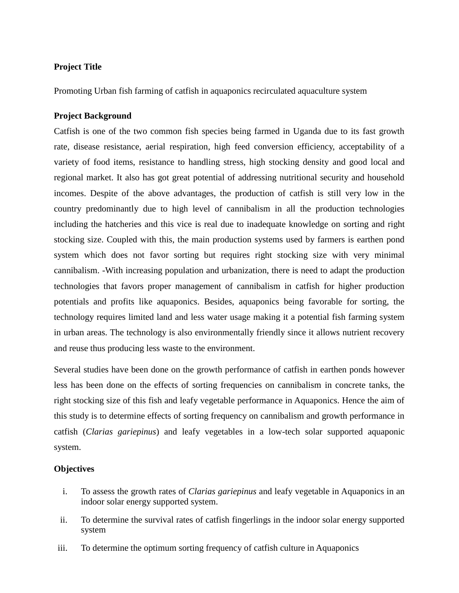## **Project Title**

Promoting Urban fish farming of catfish in aquaponics recirculated aquaculture system

### **Project Background**

Catfish is one of the two common fish species being farmed in Uganda due to its fast growth rate, disease resistance, aerial respiration, high feed conversion efficiency, acceptability of a variety of food items, resistance to handling stress, high stocking density and good local and regional market. It also has got great potential of addressing nutritional security and household incomes. Despite of the above advantages, the production of catfish is still very low in the country predominantly due to high level of cannibalism in all the production technologies including the hatcheries and this vice is real due to inadequate knowledge on sorting and right stocking size. Coupled with this, the main production systems used by farmers is earthen pond system which does not favor sorting but requires right stocking size with very minimal cannibalism. -With increasing population and urbanization, there is need to adapt the production technologies that favors proper management of cannibalism in catfish for higher production potentials and profits like aquaponics. Besides, aquaponics being favorable for sorting, the technology requires limited land and less water usage making it a potential fish farming system in urban areas. The technology is also environmentally friendly since it allows nutrient recovery and reuse thus producing less waste to the environment.

Several studies have been done on the growth performance of catfish in earthen ponds however less has been done on the effects of sorting frequencies on cannibalism in concrete tanks, the right stocking size of this fish and leafy vegetable performance in Aquaponics. Hence the aim of this study is to determine effects of sorting frequency on cannibalism and growth performance in catfish (*Clarias gariepinus*) and leafy vegetables in a low-tech solar supported aquaponic system.

# **Objectives**

- i. To assess the growth rates of *Clarias gariepinus* and leafy vegetable in Aquaponics in an indoor solar energy supported system.
- ii. To determine the survival rates of catfish fingerlings in the indoor solar energy supported system
- iii. To determine the optimum sorting frequency of catfish culture in Aquaponics